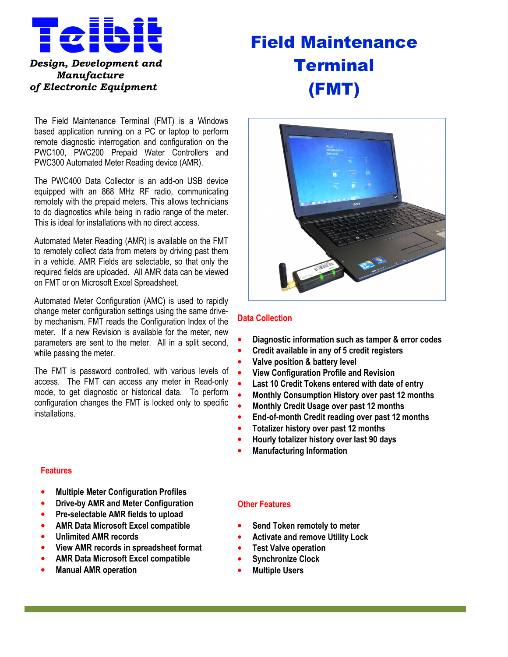

*of Electronic Equipment* 

# Field Maintenance **Terminal** (FMT)

The Field Maintenance Terminal (FMT) is a Windows based application running on a PC or laptop to perform remote diagnostic interrogation and configuration on the PWC100, PWC200 Prepaid Water Controllers and PWC300 Automated Meter Reading device (AMR).

The PWC400 Data Collector is an add-on USB device equipped with an 868 MHz RF radio, communicating remotely with the prepaid meters. This allows technicians to do diagnostics while being in radio range of the meter. This is ideal for installations with no direct access.

Automated Meter Reading (AMR) is available on the FMT to remotely collect data from meters by driving past them in a vehicle. AMR Fields are selectable, so that only the required fields are uploaded. All AMR data can be viewed on FMT or on Microsoft Excel Spreadsheet.

Automated Meter Configuration (AMC) is used to rapidly change meter configuration settings using the same driveby mechanism. FMT reads the Configuration Index of the meter. If a new Revision is available for the meter, new parameters are sent to the meter. All in a split second, while passing the meter.

The FMT is password controlled, with various levels of access. The FMT can access any meter in Read-only mode, to get diagnostic or historical data. To perform configuration changes the FMT is locked only to specific installations.

# **Features**

- **Multiple Meter Configuration Profiles**
- **Drive-by AMR and Meter Configuration**
- **Pre-selectable AMR fields to upload**
- **AMR Data Microsoft Excel compatible**
- **Unlimited AMR records**
- **View AMR records in spreadsheet format**
- **AMR Data Microsoft Excel compatible**
- **Manual AMR operation**



### **Data Collection**

- **Diagnostic information such as tamper & error codes**
- **Credit available in any of 5 credit registers**
- **Valve position & battery level**
- **View Configuration Profile and Revision**
- **Last 10 Credit Tokens entered with date of entry**
- **Monthly Consumption History over past 12 months**
- **Monthly Credit Usage over past 12 months**
- **End-of-month Credit reading over past 12 months**
- **Totalizer history over past 12 months**
- **Hourly totalizer history over last 90 days**
- **Manufacturing Information**

#### **Other Features**

- **Send Token remotely to meter**
- **Activate and remove Utility Lock**
- **Test Valve operation**
- **Synchronize Clock**
- **Multiple Users**